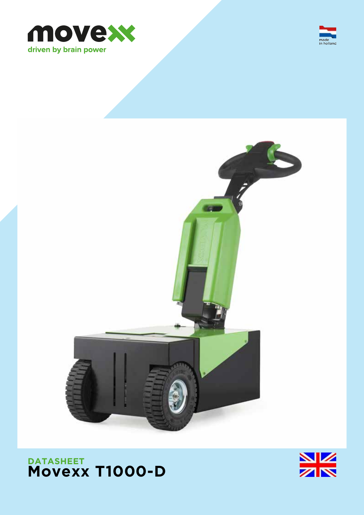







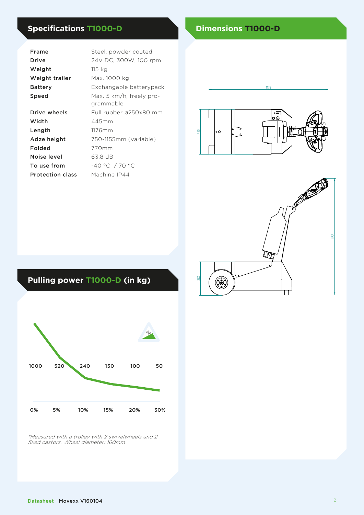# **Specifications T1000-D Dimensions T1000-D**

| Frame                   | Steel, powder coated                  |  |  |  |
|-------------------------|---------------------------------------|--|--|--|
| Drive                   | 24V DC, 300W, 100 rpm                 |  |  |  |
| Weight                  | 115 kg                                |  |  |  |
| Weight trailer          | Max. 1000 kg                          |  |  |  |
| <b>Battery</b>          | Exchangable batterypack               |  |  |  |
| Speed                   | Max. 5 km/h, freely pro-<br>grammable |  |  |  |
| Drive wheels            | Full rubber ø250x80 mm                |  |  |  |
| Width                   | 445mm                                 |  |  |  |
| Length                  | 1176mm                                |  |  |  |
| Adze height             | 750-1155mm (variable)                 |  |  |  |
| Folded                  | 770mm                                 |  |  |  |
| Noise level             | 63.8 dB                               |  |  |  |
| To use from             | -40 °C / 70 °C                        |  |  |  |
| <b>Protection class</b> | Machine IP44                          |  |  |  |





# **Pulling power T1000-D (in kg)**



\*Measured with a trolley with 2 swivelwheels and 2 fixed castors. Wheel diameter: 160mm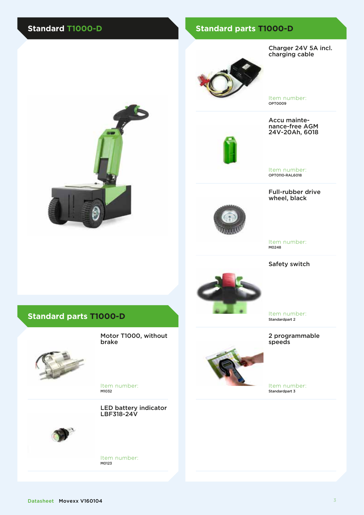## **Standard T1000-D Standard parts T1000-D**

Charger 24V 5A incl. charging cable



Item number: OPT0009

Accu mainte- nance-free AGM 24V-20Ah, 6018





Item number: OPT0110-RAL6018

Full-rubber drive wheel, black



Item number: M0248

Safety switch



Item number: Standardpart 2

2 programmable speeds

Item number: Standardpart 3

## **Standard parts T1000-D**

brake



Item number: M1032

LED battery indicator LBF318-24V

Motor T1000, without



Item number: M0123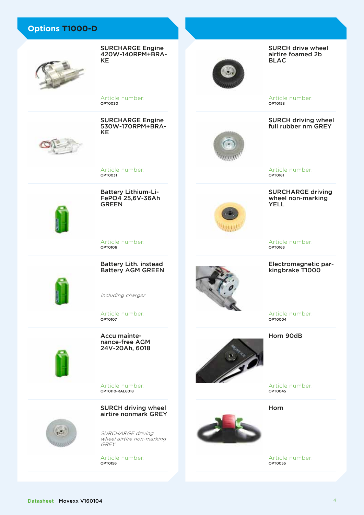Article number: OPT0030

KE

SURCHARGE Engine 420W-140RPM+BRA-

SURCHARGE Engine 530W-170RPM+BRA-<br>KE

Article number: OPT0031

Battery Lithium-Li- FePO4 25,6V-36Ah **GREEN** 



Article number: OPT0106



Battery Lith. instead Battery AGM GREEN

Including charger

Article number: OPT0107



Article number: OPT0110-RAL6018



SURCH driving wheel airtire nonmark GREY

SURCHARGE driving wheel airtire non-marking GREY

Article number: OPT0156

SURCH drive wheel airtire foamed 2b BLAC

Article number: OPT0158

SURCH driving wheel full rubber nm GREY



Article number: OPT0161

SURCHARGE driving wheel non-marking YELL

Article number: OPT0163

#### Electromagnetic parkingbrake T1000

Article number: OPT0004

Horn 90dB

Article number: OPT0045

Horn

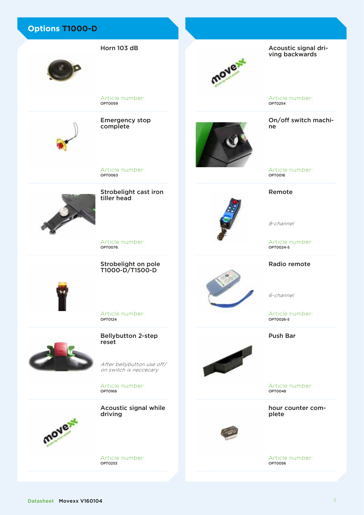Emergency stop complete

Article number:

OPT0059

Horn 103 dB

Article number: OPT0063

tiller head

OPT0076

Strobelight cast iron



Article number:

Strobelight on pole

T1000-D/T1500-D



Article number: OPT0124



Bellybutton 2-step reset

After bellybutton use off/ on switch is neccecary

Article number: OPT0168



Acoustic signal while driving

Article number: OPT0253

mover

Acoustic signal driving backwards

Article number: OPT0254

On/off switch machine

Article number: OPT0016

#### Remote

8-channel

Article number: OPT0024-5

### Radio remote

6-channel

Article number: OPT0026-5

Push Bar



Article number: OPT0048

hour counter complete

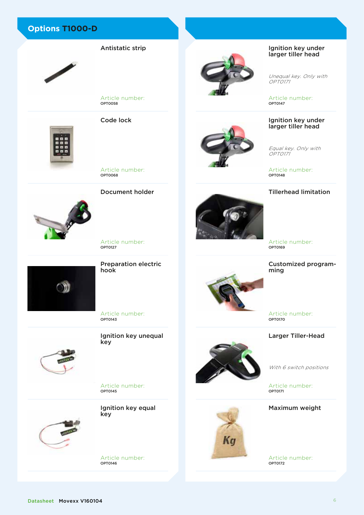



Antistatic strip





Article number: OPT0127

Document holder

Preparation electric hook

Article number: OPT0143

Ignition key unequal key

Article number: OPT0145



Ignition key equal key

Article number: OPT0146







Unequal key. Only with OPT0171

Article number: OPT0147

#### Ignition key under larger tiller head

Equal key. Only with OPT0171

Article number: OPT0148

### Tillerhead limitation



Customized programming

Article number: OPT0170

Larger Tiller-Head

Kg

With 6 switch positions

Article number: OPT0171

Maximum weight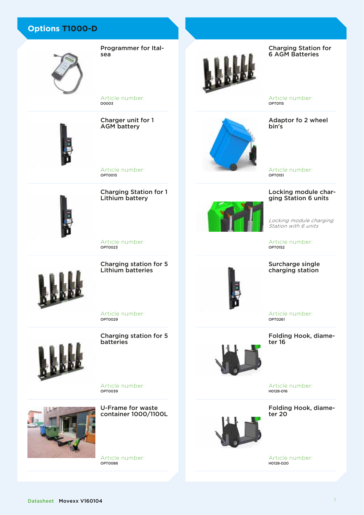

Programmer for Italsea

Article number: D0003



Charger unit for 1 AGM battery

Article number: OPT0015

Charging Station for 1 Lithium battery



Article number: OPT0023

Charging station for 5 Lithium batteries

Charging Station for 6 AGM Batteries

Article number: OPT0115

Adaptor fo 2 wheel bin's

Article number: OPT0151

# Locking module char- ging Station 6 units

Locking module charging Eberning modale end<br>Station with 6 units

Article number: OPT0152

#### Surcharge single charging station



Article number: OPT0261

Folding Hook, diame-<br>ter 16



Article number:<br> **H0128-D16** 

Folding Hook, diameter 20



Article number: H0128-D20



Article number: OPT0029

batteries



Charging station for 5

Article number: OPT0039



U-Frame for waste container 1000/1100L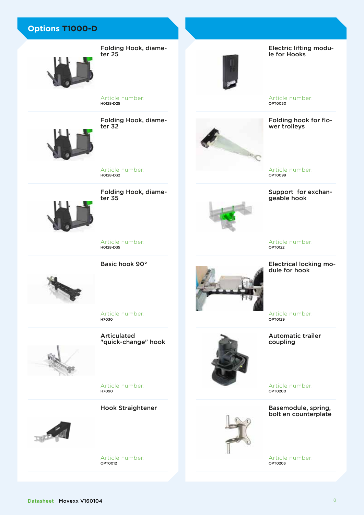

Folding Hook, diameter 25



Electric lifting module for Hooks

Article number: OPT0050

Folding hook for flower trolleys



Re

Support for exchan- geable hook

Article number: OPT0122

Electrical locking module for hook

Article number: OPT0129

Automatic trailer coupling

Article number: OPT0200

Basemodule, spring, bolt en counterplate

Article number: OPT0203

Folding Hook, diameter 32

Article number:

H0128-D25

Article number:<br>**но128-D32** 

Folding Hook, diame- ter 35



Article number:<br>**но128-р35** 

Basic hook 90°



Article number:

Articulated "quick-change" hook

Article number: H7090

Hook Straightener



Article number: OPT0012



H7030



Datasheet Movexx V160104

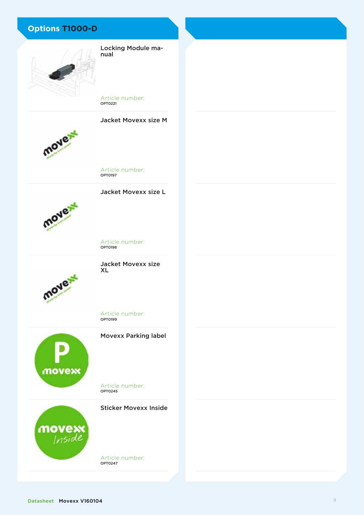

Locking Module manual

Article number: OPT0221





Article number:<br>**opto197** 

Jacket Movexx size L



Article number:<br>**орто198** 



Jacket Movexx size XL

Article number:<br>**орто199** 



Movexx Parking label

Article number:<br>**opto245** 



Sticker Movexx Inside